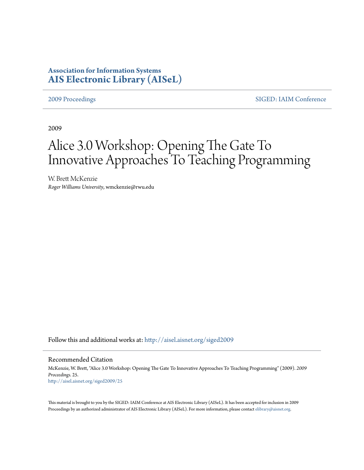# **Association for Information Systems [AIS Electronic Library \(AISeL\)](http://aisel.aisnet.org?utm_source=aisel.aisnet.org%2Fsiged2009%2F25&utm_medium=PDF&utm_campaign=PDFCoverPages)**

[2009 Proceedings](http://aisel.aisnet.org/siged2009?utm_source=aisel.aisnet.org%2Fsiged2009%2F25&utm_medium=PDF&utm_campaign=PDFCoverPages) [SIGED: IAIM Conference](http://aisel.aisnet.org/siged?utm_source=aisel.aisnet.org%2Fsiged2009%2F25&utm_medium=PDF&utm_campaign=PDFCoverPages)

2009

# Alice 3.0 Workshop: Opening The Gate To Innovative Approaches To Teaching Programming

W. Brett McKenzie *Roger Williams University*, wmckenzie@rwu.edu

Follow this and additional works at: [http://aisel.aisnet.org/siged2009](http://aisel.aisnet.org/siged2009?utm_source=aisel.aisnet.org%2Fsiged2009%2F25&utm_medium=PDF&utm_campaign=PDFCoverPages)

#### Recommended Citation

McKenzie, W. Brett, "Alice 3.0 Workshop: Opening The Gate To Innovative Approaches To Teaching Programming" (2009). *2009 Proceedings*. 25. [http://aisel.aisnet.org/siged2009/25](http://aisel.aisnet.org/siged2009/25?utm_source=aisel.aisnet.org%2Fsiged2009%2F25&utm_medium=PDF&utm_campaign=PDFCoverPages)

This material is brought to you by the SIGED: IAIM Conference at AIS Electronic Library (AISeL). It has been accepted for inclusion in 2009 Proceedings by an authorized administrator of AIS Electronic Library (AISeL). For more information, please contact [elibrary@aisnet.org](mailto:elibrary@aisnet.org%3E).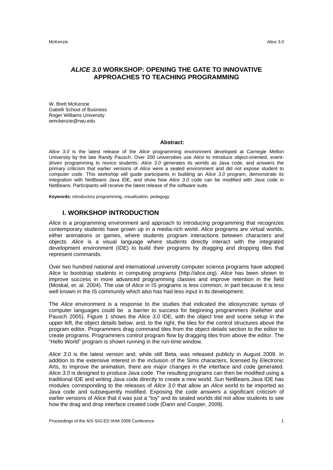McKenzie *Alice 3.0* 

# *ALICE 3.0* **WORKSHOP: OPENING THE GATE TO INNOVATIVE APPROACHES TO TEACHING PROGRAMMING**

W. Brett McKenzie Gabelli School of Business Roger Williams University wmckenzie@rwu.edu

#### **Abstract:**

*Alice 3.0* is the latest release of the *Alice* programming environment developed at Carnegie Mellon University by the late Randy Pausch. Over 200 universities use *Alice* to introduce object-oriented, eventdriven programming to novice students. *Alice 3.0* generates its worlds as Java code, and answers the primary criticism that earlier versions of *Alice* were a sealed environment and did not expose student to computer code. This workshop will guide participants in building an *Alice 3.0* program, demonstrate its integration with NetBeans Java IDE, and show how *Alice 3.0* code can be modified with Java code in NetBeans. Participants will receive the latest release of the software suite.

**Keywords:** introductory programming, visualization, pedagogy

#### **I. WORKSHOP INTRODUCTION**

*Alice* is a programming environment and approach to introducing programming that recognizes contemporary students have grown up in a media-rich world. *Alice* programs are virtual worlds, either animations or games, where students program interactions between characters and objects. *Alice* is a visual language where students directly interact with the integrated development environment (IDE) to build their programs by dragging and dropping tiles that represent commands.

Over two hundred national and international university computer science programs have adopted *Alice* to bootstrap students in computing programs (http://alice.org). *Alice* has been shown to improve success in more advanced programming classes and improve retention in the field (Moskal, et. al. 2004). The use of *Alice* in IS programs is less common, in part because it is less well known in the IS community which also has had less input in its development.

The *Alice* environment is a response to the studies that indicated the idiosyncratic syntax of computer languages could be a barrier to success for beginning programmers (Kelleher and Pausch 2005). Figure 1 shows the *Alice 3.0* IDE, with the object tree and scene setup in the upper left, the object details below, and, to the right, the tiles for the control structures above the program editor. Programmers drag command tiles from the object details section to the editor to create programs. Programmers control program flow by dragging tiles from above the editor. The "Hello World" program is shown running in the run-time window.

*Alice 3.0* is the latest version and, while still Beta, was released publicly in August 2009. In addition to the extensive interest in the inclusion of the Sims characters, licensed by Electronic Arts, to improve the animation, there are major changes in the interface and code generated. *Alice 3.0* is designed to produce Java code. The resulting programs can then be modified using a traditional IDE and writing Java code directly to create a new world. Sun NetBeans Java IDE has modules corresponding to the releases of *Alice 3.0* that allow an *Alice* world to be imported as Java code and subsequently modified. Exposing the code answers a significant criticism of earlier versions of Alice that it was just a "toy" and its sealed worlds did not allow students to see how the drag and drop interface created code (Dann and Cooper, 2009).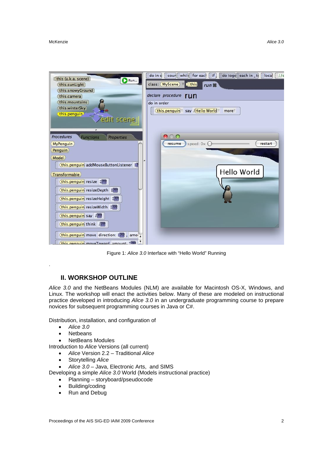

Figure 1: *Alice 3.0* Interface with "Hello World" Running

## **II. WORKSHOP OUTLINE**

*Alice 3.0* and the NetBeans Modules (NLM) are available for Macintosh OS-X, Windows, and Linux. The workshop will enact the activities below. Many of these are modeled on instructional practice developed in introducing *Alice 3.0* in an undergraduate programming course to prepare novices for subsequent programming courses in Java or C#.

Distribution, installation, and configuration of

*Alice 3.0*

.

- Netbeans
- NetBeans Modules

Introduction to *Alice* Versions (all current)

- *Alice* Version 2.2 Traditional *Alice*
- Storytelling *Alice*
- *Alice 3.0* Java, Electronic Arts, and SIMS

Developing a simple *Alice 3.0* World (Models instructional practice)

- Planning storyboard/pseudocode
- Building/coding
- Run and Debug